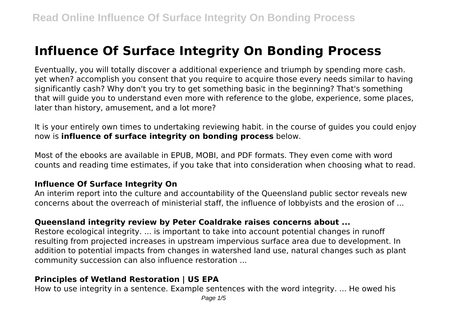# **Influence Of Surface Integrity On Bonding Process**

Eventually, you will totally discover a additional experience and triumph by spending more cash. yet when? accomplish you consent that you require to acquire those every needs similar to having significantly cash? Why don't you try to get something basic in the beginning? That's something that will guide you to understand even more with reference to the globe, experience, some places, later than history, amusement, and a lot more?

It is your entirely own times to undertaking reviewing habit. in the course of guides you could enjoy now is **influence of surface integrity on bonding process** below.

Most of the ebooks are available in EPUB, MOBI, and PDF formats. They even come with word counts and reading time estimates, if you take that into consideration when choosing what to read.

## **Influence Of Surface Integrity On**

An interim report into the culture and accountability of the Queensland public sector reveals new concerns about the overreach of ministerial staff, the influence of lobbyists and the erosion of ...

## **Queensland integrity review by Peter Coaldrake raises concerns about ...**

Restore ecological integrity. ... is important to take into account potential changes in runoff resulting from projected increases in upstream impervious surface area due to development. In addition to potential impacts from changes in watershed land use, natural changes such as plant community succession can also influence restoration ...

## **Principles of Wetland Restoration | US EPA**

How to use integrity in a sentence. Example sentences with the word integrity. ... He owed his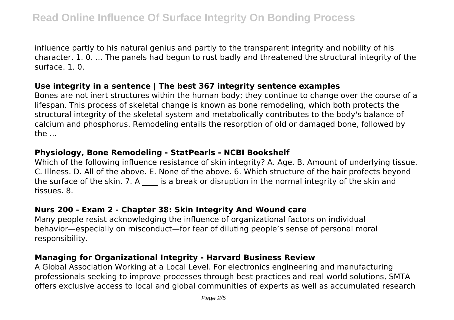influence partly to his natural genius and partly to the transparent integrity and nobility of his character. 1. 0. ... The panels had begun to rust badly and threatened the structural integrity of the surface. 1. 0.

#### **Use integrity in a sentence | The best 367 integrity sentence examples**

Bones are not inert structures within the human body; they continue to change over the course of a lifespan. This process of skeletal change is known as bone remodeling, which both protects the structural integrity of the skeletal system and metabolically contributes to the body's balance of calcium and phosphorus. Remodeling entails the resorption of old or damaged bone, followed by the ...

## **Physiology, Bone Remodeling - StatPearls - NCBI Bookshelf**

Which of the following influence resistance of skin integrity? A. Age. B. Amount of underlying tissue. C. Illness. D. All of the above. E. None of the above. 6. Which structure of the hair profects beyond the surface of the skin. 7. A is a break or disruption in the normal integrity of the skin and tissues. 8.

## **Nurs 200 - Exam 2 - Chapter 38: Skin Integrity And Wound care**

Many people resist acknowledging the influence of organizational factors on individual behavior—especially on misconduct—for fear of diluting people's sense of personal moral responsibility.

## **Managing for Organizational Integrity - Harvard Business Review**

A Global Association Working at a Local Level. For electronics engineering and manufacturing professionals seeking to improve processes through best practices and real world solutions, SMTA offers exclusive access to local and global communities of experts as well as accumulated research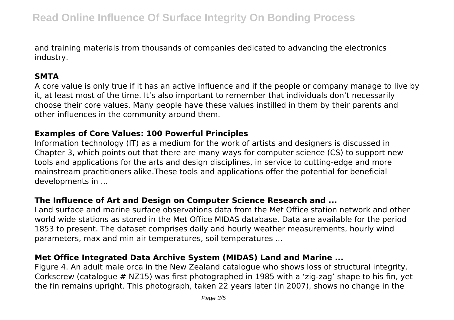and training materials from thousands of companies dedicated to advancing the electronics industry.

## **SMTA**

A core value is only true if it has an active influence and if the people or company manage to live by it, at least most of the time. It's also important to remember that individuals don't necessarily choose their core values. Many people have these values instilled in them by their parents and other influences in the community around them.

## **Examples of Core Values: 100 Powerful Principles**

Information technology (IT) as a medium for the work of artists and designers is discussed in Chapter 3, which points out that there are many ways for computer science (CS) to support new tools and applications for the arts and design disciplines, in service to cutting-edge and more mainstream practitioners alike.These tools and applications offer the potential for beneficial developments in ...

# **The Influence of Art and Design on Computer Science Research and ...**

Land surface and marine surface observations data from the Met Office station network and other world wide stations as stored in the Met Office MIDAS database. Data are available for the period 1853 to present. The dataset comprises daily and hourly weather measurements, hourly wind parameters, max and min air temperatures, soil temperatures ...

# **Met Office Integrated Data Archive System (MIDAS) Land and Marine ...**

Figure 4. An adult male orca in the New Zealand catalogue who shows loss of structural integrity. Corkscrew (catalogue # NZ15) was first photographed in 1985 with a 'zig-zag' shape to his fin, yet the fin remains upright. This photograph, taken 22 years later (in 2007), shows no change in the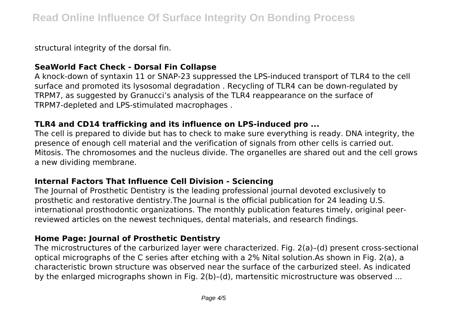structural integrity of the dorsal fin.

## **SeaWorld Fact Check - Dorsal Fin Collapse**

A knock-down of syntaxin 11 or SNAP-23 suppressed the LPS-induced transport of TLR4 to the cell surface and promoted its lysosomal degradation . Recycling of TLR4 can be down-regulated by TRPM7, as suggested by Granucci's analysis of the TLR4 reappearance on the surface of TRPM7-depleted and LPS-stimulated macrophages .

## **TLR4 and CD14 trafficking and its influence on LPS-induced pro ...**

The cell is prepared to divide but has to check to make sure everything is ready. DNA integrity, the presence of enough cell material and the verification of signals from other cells is carried out. Mitosis. The chromosomes and the nucleus divide. The organelles are shared out and the cell grows a new dividing membrane.

#### **Internal Factors That Influence Cell Division - Sciencing**

The Journal of Prosthetic Dentistry is the leading professional journal devoted exclusively to prosthetic and restorative dentistry.The Journal is the official publication for 24 leading U.S. international prosthodontic organizations. The monthly publication features timely, original peerreviewed articles on the newest techniques, dental materials, and research findings.

## **Home Page: Journal of Prosthetic Dentistry**

The microstructures of the carburized layer were characterized. Fig. 2(a)–(d) present cross-sectional optical micrographs of the C series after etching with a 2% Nital solution.As shown in Fig. 2(a), a characteristic brown structure was observed near the surface of the carburized steel. As indicated by the enlarged micrographs shown in Fig. 2(b)–(d), martensitic microstructure was observed ...